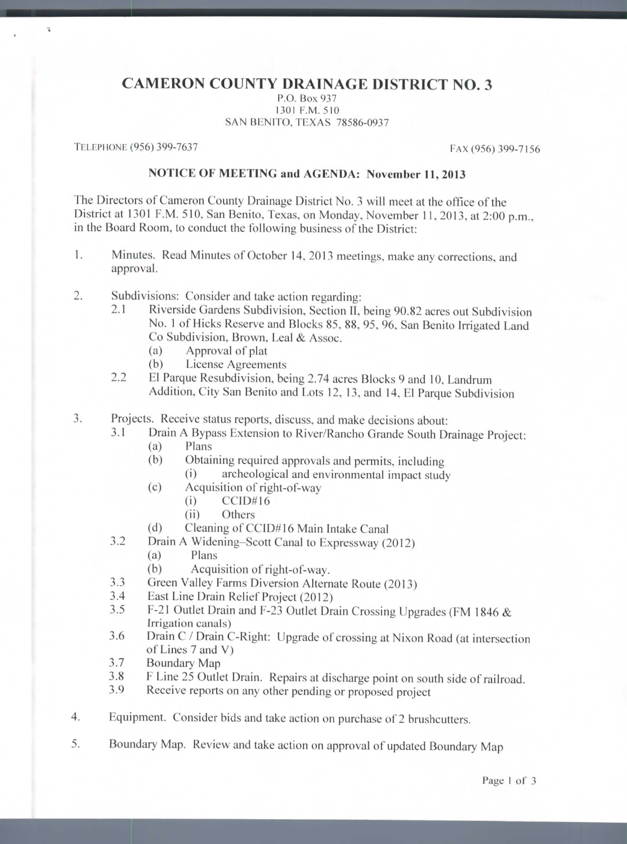## **CAMERON COUNTY DRAINAGE DISTRICT NO. 3**

P.O. Box 937 1301 P.M. 510 SAN BENITO, TEXAS 78586-0937

TELEPHONE (956) 399-7637 FAX (956) 399-7156

 $\tilde{a}$ 

## **NOTICE OF MEETING and AGENDA: November 11, 2013**

The Directors of Cameron County Drainage District No. 3 will meet at the office of the District at 1301 F.M. 510, San Benito, Texas, on Monday, November 11, 2013, at 2:00 p.m., in the Board Room, to conduct the following business of the District:

- 1. Minutes. Read Minutes of October 14, 2013 meetings, make any corrections, and approval.
- 2. Subdivisions: Consider and take action regarding:
	- 2.1 Riverside Gardens Subdivision. Section II. being 90.82 acres out Subdivision No. 1 of Hicks Reserve and Blocks 85, 88, 95, 96, San Benito Irrigated Land Co Subdivision, Brown, Leal & Assoc.
		- (a) Approval of plat
		- (b) License Agreements
	- 2.2 El Parque Rcsubdivision, being 2.74 acres Blocks 9 and 10, Landrum Addition, City San Benito and Lots 12, 13, and 14. El Parque Subdivision
- 3. Projects. Receive status reports, discuss, and make decisions about:
	- 3.1 Drain A Bypass Extension to River/Rancho Grande South Drainage Project:
		- (a) Plans
		- (b) Obtaining required approvals and permits, including
			- (i) archeological and environmental impact study
		- (c) Acquisition of right-of-way
			- (i) CCID#16
			- (ii) Others
		- (d) Cleaning of CCID#16 Main Intake Canal
	- 3.2 Drain A Widening-Scott Canal to Expressway (2012)
		- (a) Plans
		- (b) Acquisition of right-of-way.
	- 3.3 Green Valley Farms Diversion Alternate Route (2013)
	- 3.4 Bast Line Drain Relief Project (2012)
	- 3.5 F-21 Outlet Drain and F-23 Outlet Drain Crossing Upgrades (FM 1846 & Irrigation canals)
	- 3.6 Drain C / Drain C-Right: Upgrade of crossing at Nixon Road (at intersection of Lines 7 and V)
	- 3.7 Boundary Map
	- 3.8 F Line 25 Outlet Drain. Repairs at discharge point on south side of railroad.
	- 3.9 Receive reports on any other pending or proposed project
- 4. Equipment. Consider bids and take action on purchase of 2 brushcutters.
- 5. Boundary Map. Review and take action on approval of updated Boundary Map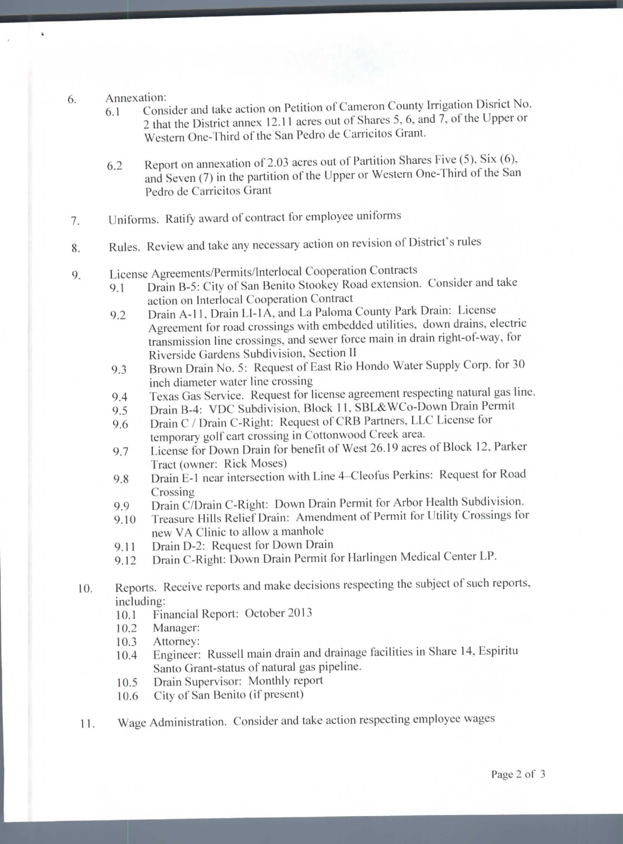Annexation: 6

ä,

- 6.1 Consider and take action on Petition of Cameron County Irrigation Disrict No. 2 that the District annex 12.11 acres out of Shares 5, 6, and 7, of the Upper or Western One-Third of the San Pedro de Carricitos Grant.
- 6.2 Report on annexation of 2.03 acres out of Partition Shares Five  $(5)$ , Six  $(6)$ , and Seven (7) in the partition of the Upper or Western One-Third of the San Pedro de Carricitos Grant
- 7. Uniforms. Ratify award of contract for employee uniforms
- 8. Rules. Review and take any necessary action on revision of District's rules
- 9. License Agreements/Permits/lnterlocal Cooperation Contracts
	- 9.1 Drain B-5: City of San Benito Stookey Road extension. Consider and take action on Interlocal Cooperation Contract
	- 9.2 Drain A-11, Drain LI-1A, and La Paloma County Park Drain: License Agreement for road crossings with embedded utilities, down drains, electric transmission line crossings, and sewer force main in drain right-of-way, for Riverside Gardens Subdivision, Section II
	- 9.3 Brown Drain No. 5: Request of East Rio Hondo Water Supply Corp. for 30 inch diameter water line crossing
	- 9.4 Texas Gas Service. Request for license agreement respecting natural gas line.
	- 9.5 Drain B-4: VDC Subdivision, Block 11, SBL&WCo-Down Drain Permit
	- 9.6 Drain C / Drain C-Right: Request of CRB Partners, LLC License for temporary golf cart crossing in Cottonwood Creek area.
	- 9.7 License for Down Drain for benefit of West 26.19 acres of Block 12, Parker Tract (owner: Rick Moses)
	- 9.8 Drain E-1 near intersection with Line 4–Cleofus Perkins: Request for Road Crossing
	- 9.9 Drain C/Drain C-Right: Down Drain Permit for Arbor Health Subdivision.
	- 9.10 Treasure Hills Relief Drain: Amendment of Permit for Utility Crossings for new VA Clinic to allow a manhole
	- 9.11 Drain D-2: Request for Down Drain
	- 9.12 Drain C-Right: Down Drain Permit for Harlingen Medical Center LP.
- 10. Reports. Receive reports and make decisions respecting the subject of such reports, including:
	- 10.1 Financial Report: October 2013
	- 10.2 Manager:
	- 10.3 Attorney:
	- 10.4 Engineer: Russell main drain and drainage facilities in Share 14, Espiritu Santo Grant-status of natural gas pipeline.
	- 10.5 Drain Supervisor: Monthly report
	- 10.6 City of San Benito (if present)
- 11. Wage Administration, Consider and take action respecting employee wages